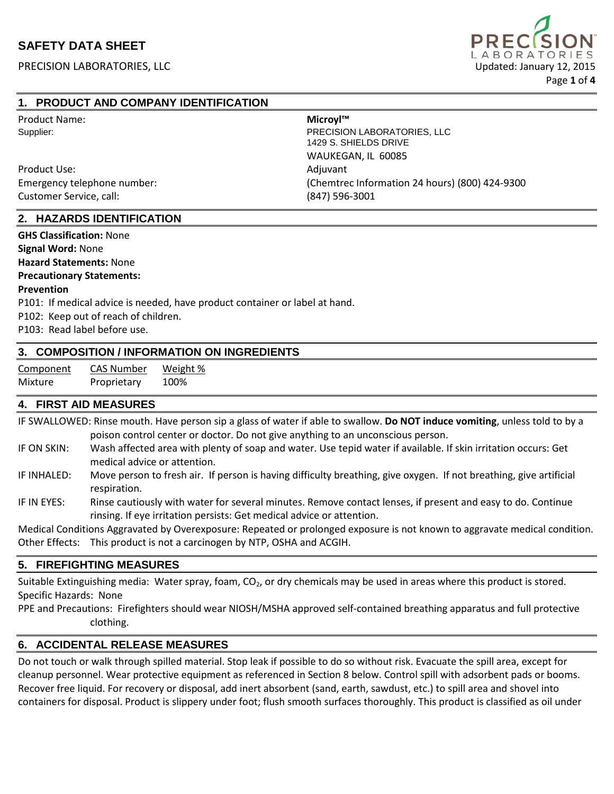

### **1. PRODUCT AND COMPANY IDENTIFICATION**

| Product Name:               | Microyl™                                             |  |  |
|-----------------------------|------------------------------------------------------|--|--|
| Supplier:                   | PRECISION LABORATORIES, LLC<br>1429 S. SHIELDS DRIVE |  |  |
|                             | WAUKEGAN, IL 60085                                   |  |  |
| Product Use:                | Adjuvant                                             |  |  |
| Emergency telephone number: | (Chemtrec Information 24 hours) (800) 424-9300       |  |  |
| Customer Service, call:     | $(847)$ 596-3001                                     |  |  |

#### **2. HAZARDS IDENTIFICATION**

**GHS Classification:** None

**Signal Word:** None

**Hazard Statements:** None

#### **Precautionary Statements:**

#### **Prevention**

P101: If medical advice is needed, have product container or label at hand.

P102: Keep out of reach of children.

P103: Read label before use.

#### **3. COMPOSITION / INFORMATION ON INGREDIENTS**

| Component | <b>CAS Number</b> | Weight % |
|-----------|-------------------|----------|
| Mixture   | Proprietary       | 100%     |

#### **4. FIRST AID MEASURES**

IF SWALLOWED: Rinse mouth. Have person sip a glass of water if able to swallow. **Do NOT induce vomiting**, unless told to by a poison control center or doctor. Do not give anything to an unconscious person.

- IF ON SKIN: Wash affected area with plenty of soap and water. Use tepid water if available. If skin irritation occurs: Get medical advice or attention.
- IF INHALED: Move person to fresh air. If person is having difficulty breathing, give oxygen. If not breathing, give artificial respiration.

IF IN EYES: Rinse cautiously with water for several minutes. Remove contact lenses, if present and easy to do. Continue rinsing. If eye irritation persists: Get medical advice or attention.

Medical Conditions Aggravated by Overexposure: Repeated or prolonged exposure is not known to aggravate medical condition. Other Effects: This product is not a carcinogen by NTP, OSHA and ACGIH.

#### **5. FIREFIGHTING MEASURES**

Suitable Extinguishing media: Water spray, foam,  $CO<sub>2</sub>$ , or dry chemicals may be used in areas where this product is stored. Specific Hazards: None

PPE and Precautions: Firefighters should wear NIOSH/MSHA approved self-contained breathing apparatus and full protective clothing.

#### **6. ACCIDENTAL RELEASE MEASURES**

Do not touch or walk through spilled material. Stop leak if possible to do so without risk. Evacuate the spill area, except for cleanup personnel. Wear protective equipment as referenced in Section 8 below. Control spill with adsorbent pads or booms. Recover free liquid. For recovery or disposal, add inert absorbent (sand, earth, sawdust, etc.) to spill area and shovel into containers for disposal. Product is slippery under foot; flush smooth surfaces thoroughly. This product is classified as oil under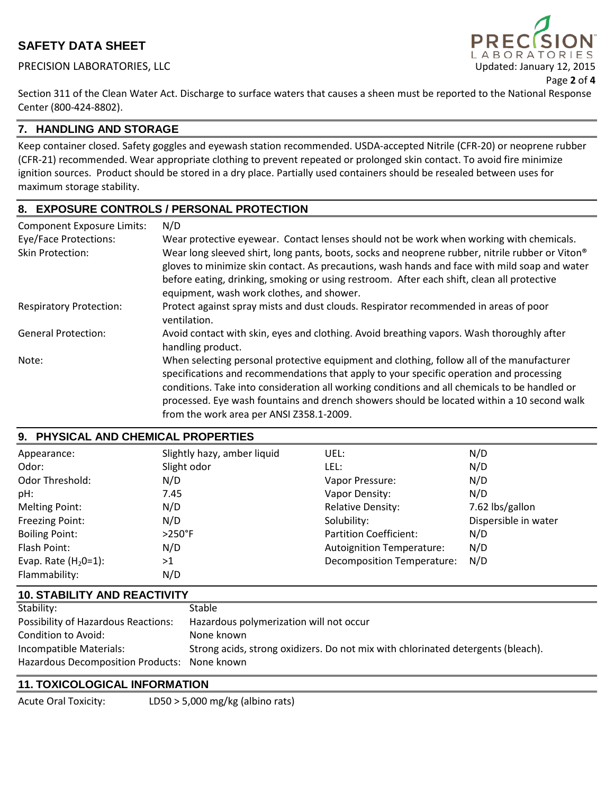PRECISION LABORATORIES, LLC **Exercision Control Control Control Control Control Control Control Control Control Control Control Control Control Control Control Control Control Control Control Control Control Control Contro** 



Section 311 of the Clean Water Act. Discharge to surface waters that causes a sheen must be reported to the National Response Center (800-424-8802).

## **7. HANDLING AND STORAGE**

Keep container closed. Safety goggles and eyewash station recommended. USDA-accepted Nitrile (CFR-20) or neoprene rubber (CFR-21) recommended. Wear appropriate clothing to prevent repeated or prolonged skin contact. To avoid fire minimize ignition sources. Product should be stored in a dry place. Partially used containers should be resealed between uses for maximum storage stability.

## **8. EXPOSURE CONTROLS / PERSONAL PROTECTION**

| <b>Component Exposure Limits:</b> | N/D                                                                                                                                                                                                                                                                                                                                                                                                                             |
|-----------------------------------|---------------------------------------------------------------------------------------------------------------------------------------------------------------------------------------------------------------------------------------------------------------------------------------------------------------------------------------------------------------------------------------------------------------------------------|
| <b>Eye/Face Protections:</b>      | Wear protective eyewear. Contact lenses should not be work when working with chemicals.                                                                                                                                                                                                                                                                                                                                         |
| <b>Skin Protection:</b>           | Wear long sleeved shirt, long pants, boots, socks and neoprene rubber, nitrile rubber or Viton®<br>gloves to minimize skin contact. As precautions, wash hands and face with mild soap and water                                                                                                                                                                                                                                |
|                                   | before eating, drinking, smoking or using restroom. After each shift, clean all protective<br>equipment, wash work clothes, and shower.                                                                                                                                                                                                                                                                                         |
| <b>Respiratory Protection:</b>    | Protect against spray mists and dust clouds. Respirator recommended in areas of poor<br>ventilation.                                                                                                                                                                                                                                                                                                                            |
| <b>General Protection:</b>        | Avoid contact with skin, eyes and clothing. Avoid breathing vapors. Wash thoroughly after<br>handling product.                                                                                                                                                                                                                                                                                                                  |
| Note:                             | When selecting personal protective equipment and clothing, follow all of the manufacturer<br>specifications and recommendations that apply to your specific operation and processing<br>conditions. Take into consideration all working conditions and all chemicals to be handled or<br>processed. Eye wash fountains and drench showers should be located within a 10 second walk<br>from the work area per ANSI Z358.1-2009. |

## **9. PHYSICAL AND CHEMICAL PROPERTIES**

| Appearance:            | Slightly hazy, amber liquid | UEL:                             | N/D                  |
|------------------------|-----------------------------|----------------------------------|----------------------|
| Odor:                  | Slight odor                 | LEL:                             | N/D                  |
| Odor Threshold:        | N/D                         | Vapor Pressure:                  | N/D                  |
| pH:                    | 7.45                        | Vapor Density:                   | N/D                  |
| <b>Melting Point:</b>  | N/D                         | <b>Relative Density:</b>         | 7.62 lbs/gallon      |
| Freezing Point:        | N/D                         | Solubility:                      | Dispersible in water |
| <b>Boiling Point:</b>  | $>250^\circ F$              | <b>Partition Coefficient:</b>    | N/D                  |
| Flash Point:           | N/D                         | <b>Autoignition Temperature:</b> | N/D                  |
| Evap. Rate $(H20=1)$ : | >1                          | Decomposition Temperature:       | N/D                  |
| Flammability:          | N/D                         |                                  |                      |

### **10. STABILITY AND REACTIVITY**

| Stability:                                   | Stable                                                                           |
|----------------------------------------------|----------------------------------------------------------------------------------|
| <b>Possibility of Hazardous Reactions:</b>   | Hazardous polymerization will not occur                                          |
| Condition to Avoid:                          | None known                                                                       |
| Incompatible Materials:                      | Strong acids, strong oxidizers. Do not mix with chlorinated detergents (bleach). |
| Hazardous Decomposition Products: None known |                                                                                  |

### **11. TOXICOLOGICAL INFORMATION**

Acute Oral Toxicity: LD50 > 5,000 mg/kg (albino rats)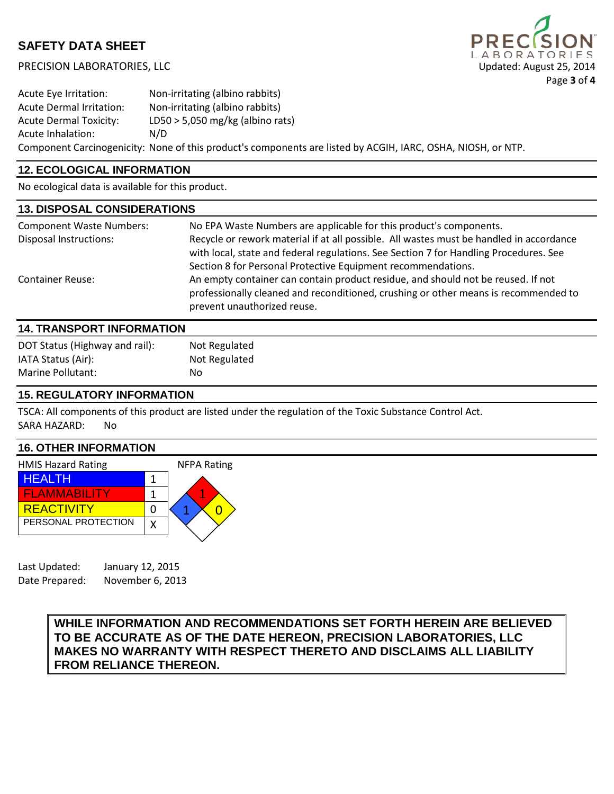PRECISION LABORATORIES, LLC Updated: August 25, 2014



Acute Eye Irritation: Non-irritating (albino rabbits) Acute Dermal Irritation: Non-irritating (albino rabbits) Acute Dermal Toxicity: LD50 > 5,050 mg/kg (albino rats) Acute Inhalation: N/D Component Carcinogenicity: None of this product's components are listed by ACGIH, IARC, OSHA, NIOSH, or NTP.

## **12. ECOLOGICAL INFORMATION**

No ecological data is available for this product.

| <b>13. DISPOSAL CONSIDERATIONS</b> |                                                                                                                                                                                                                                                  |  |
|------------------------------------|--------------------------------------------------------------------------------------------------------------------------------------------------------------------------------------------------------------------------------------------------|--|
| <b>Component Waste Numbers:</b>    | No EPA Waste Numbers are applicable for this product's components.                                                                                                                                                                               |  |
| <b>Disposal Instructions:</b>      | Recycle or rework material if at all possible. All wastes must be handled in accordance<br>with local, state and federal regulations. See Section 7 for Handling Procedures. See<br>Section 8 for Personal Protective Equipment recommendations. |  |
| <b>Container Reuse:</b>            | An empty container can contain product residue, and should not be reused. If not<br>professionally cleaned and reconditioned, crushing or other means is recommended to<br>prevent unauthorized reuse.                                           |  |
| 14 TRANSPORT INFORMATION           |                                                                                                                                                                                                                                                  |  |

| ייטווריוויט וויט וסיוריודי ודו |               |  |  |
|--------------------------------|---------------|--|--|
| DOT Status (Highway and rail): | Not Regulated |  |  |
| IATA Status (Air):             | Not Regulated |  |  |
| Marine Pollutant:              | No            |  |  |
|                                |               |  |  |

### **15. REGULATORY INFORMATION**

TSCA: All components of this product are listed under the regulation of the Toxic Substance Control Act. SARA HAZARD: No

### **16. OTHER INFORMATION**



| Last Updated:  | January 12, 2015 |
|----------------|------------------|
| Date Prepared: | November 6, 2013 |

## **WHILE INFORMATION AND RECOMMENDATIONS SET FORTH HEREIN ARE BELIEVED TO BE ACCURATE AS OF THE DATE HEREON, PRECISION LABORATORIES, LLC MAKES NO WARRANTY WITH RESPECT THERETO AND DISCLAIMS ALL LIABILITY FROM RELIANCE THEREON.**